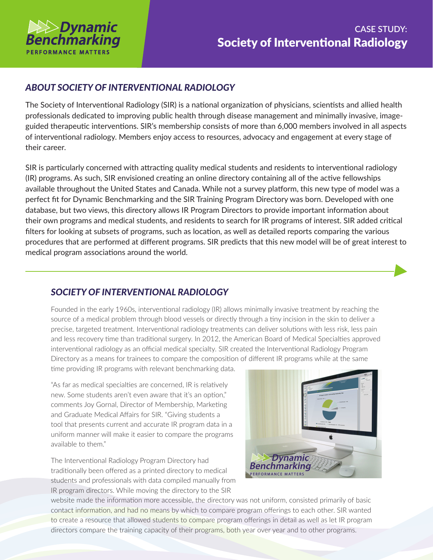

## *ABOUT SOCIETY OF INTERVENTIONAL RADIOLOGY*

The Society of Interventional Radiology (SIR) is a national organization of physicians, scientists and allied health professionals dedicated to improving public health through disease management and minimally invasive, imageguided therapeutic interventions. SIR's membership consists of more than 6,000 members involved in all aspects of interventional radiology. Members enjoy access to resources, advocacy and engagement at every stage of their career.

SIR is particularly concerned with attracting quality medical students and residents to interventional radiology (IR) programs. As such, SIR envisioned creating an online directory containing all of the active fellowships available throughout the United States and Canada. While not a survey platform, this new type of model was a perfect fit for Dynamic Benchmarking and the SIR Training Program Directory was born. Developed with one database, but two views, this directory allows IR Program Directors to provide important information about their own programs and medical students, and residents to search for IR programs of interest. SIR added critical filters for looking at subsets of programs, such as location, as well as detailed reports comparing the various procedures that are performed at different programs. SIR predicts that this new model will be of great interest to medical program associations around the world.

## *SOCIETY OF INTERVENTIONAL RADIOLOGY*

Founded in the early 1960s, interventional radiology (IR) allows minimally invasive treatment by reaching the source of a medical problem through blood vessels or directly through a tiny incision in the skin to deliver a precise, targeted treatment. Interventional radiology treatments can deliver solutions with less risk, less pain and less recovery time than traditional surgery. In 2012, the American Board of Medical Specialties approved interventional radiology as an official medical specialty. SIR created the Interventional Radiology Program Directory as a means for trainees to compare the composition of different IR programs while at the same

time providing IR programs with relevant benchmarking data.

"As far as medical specialties are concerned, IR is relatively new. Some students aren't even aware that it's an option," comments Joy Gornal, Director of Membership, Marketing and Graduate Medical Affairs for SIR. "Giving students a tool that presents current and accurate IR program data in a uniform manner will make it easier to compare the programs available to them."

The Interventional Radiology Program Directory had traditionally been offered as a printed directory to medical students and professionals with data compiled manually from IR program directors. While moving the directory to the SIR



website made the information more accessible, the directory was not uniform, consisted primarily of basic contact information, and had no means by which to compare program offerings to each other. SIR wanted to create a resource that allowed students to compare program offerings in detail as well as let IR program directors compare the training capacity of their programs, both year over year and to other programs.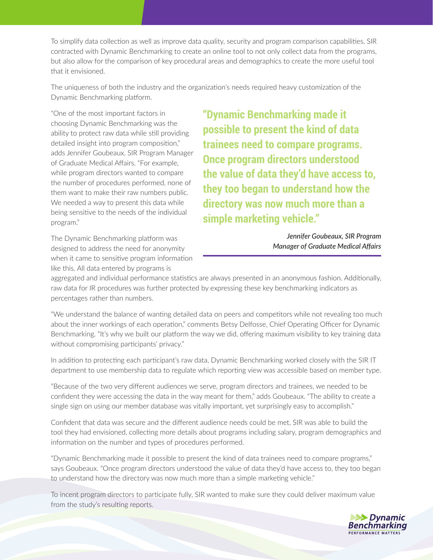To simplify data collection as well as improve data quality, security and program comparison capabilities, SIR contracted with Dynamic Benchmarking to create an online tool to not only collect data from the programs, but also allow for the comparison of key procedural areas and demographics to create the more useful tool that it envisioned.

The uniqueness of both the industry and the organization's needs required heavy customization of the Dynamic Benchmarking platform.

"One of the most important factors in choosing Dynamic Benchmarking was the ability to protect raw data while still providing detailed insight into program composition," adds Jennifer Goubeaux, SIR Program Manager of Graduate Medical Affairs. "For example, while program directors wanted to compare the number of procedures performed, none of them want to make their raw numbers public. We needed a way to present this data while being sensitive to the needs of the individual program."

The Dynamic Benchmarking platform was designed to address the need for anonymity when it came to sensitive program information like this. All data entered by programs is

**"Dynamic Benchmarking made it possible to present the kind of data trainees need to compare programs. Once program directors understood the value of data they'd have access to, they too began to understand how the directory was now much more than a simple marketing vehicle."**

> *Jennifer Goubeaux, SIR Program Manager of Graduate Medical Affairs*

aggregated and individual performance statistics are always presented in an anonymous fashion. Additionally, raw data for IR procedures was further protected by expressing these key benchmarking indicators as percentages rather than numbers.

"We understand the balance of wanting detailed data on peers and competitors while not revealing too much about the inner workings of each operation," comments Betsy Delfosse, Chief Operating Officer for Dynamic Benchmarking. "It's why we built our platform the way we did, offering maximum visibility to key training data without compromising participants' privacy."

In addition to protecting each participant's raw data, Dynamic Benchmarking worked closely with the SIR IT department to use membership data to regulate which reporting view was accessible based on member type.

"Because of the two very different audiences we serve, program directors and trainees, we needed to be confident they were accessing the data in the way meant for them," adds Goubeaux. "The ability to create a single sign on using our member database was vitally important, yet surprisingly easy to accomplish."

Confident that data was secure and the different audience needs could be met, SIR was able to build the tool they had envisioned, collecting more details about programs including salary, program demographics and information on the number and types of procedures performed.

"Dynamic Benchmarking made it possible to present the kind of data trainees need to compare programs," says Goubeaux. "Once program directors understood the value of data they'd have access to, they too began to understand how the directory was now much more than a simple marketing vehicle."

To incent program directors to participate fully, SIR wanted to make sure they could deliver maximum value from the study's resulting reports.